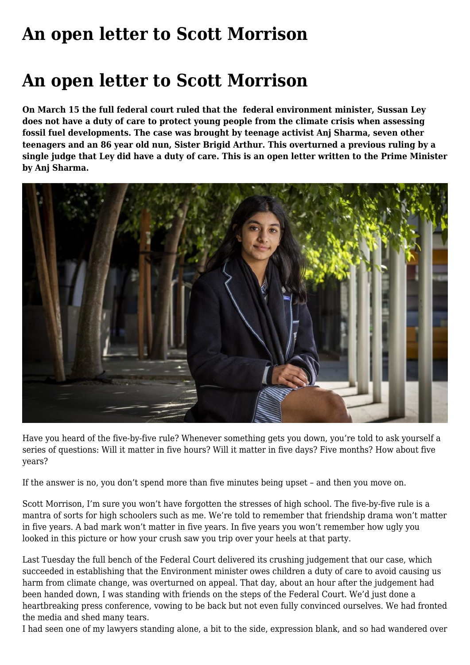## **[An open letter to Scott Morrison](https://www.melbpc.org.au/an-open-letter-to-scott-morrison/)**

## **An open letter to Scott Morrison**

**On March 15 the full federal court ruled that the federal environment minister, Sussan Ley does not have a duty of care to protect young people from the climate crisis when assessing fossil fuel developments. The case was brought by teenage activist Anj Sharma, seven other teenagers and an 86 year old nun, Sister Brigid Arthur. This overturned a previous ruling by a single judge that Ley did have a duty of care. This is an open letter written to the Prime Minister by Anj Sharma.**



Have you heard of the five-by-five rule? Whenever something gets you down, you're told to ask yourself a series of questions: Will it matter in five hours? Will it matter in five days? Five months? How about five years?

If the answer is no, you don't spend more than five minutes being upset – and then you move on.

Scott Morrison, I'm sure you won't have forgotten the stresses of high school. The five-by-five rule is a mantra of sorts for high schoolers such as me. We're told to remember that friendship drama won't matter in five years. A bad mark won't matter in five years. In five years you won't remember how ugly you looked in this picture or how your crush saw you trip over your heels at that party.

Last Tuesday the full bench of the Federal Court delivered its crushing judgement that our case, which succeeded in establishing that the Environment minister owes children a duty of care to avoid causing us harm from climate change, was overturned on appeal. That day, about an hour after the judgement had been handed down, I was standing with friends on the steps of the Federal Court. We'd just done a heartbreaking press conference, vowing to be back but not even fully convinced ourselves. We had fronted the media and shed many tears.

I had seen one of my lawyers standing alone, a bit to the side, expression blank, and so had wandered over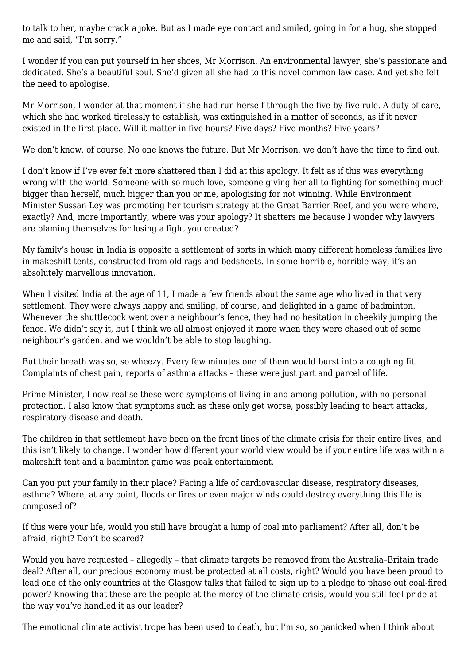to talk to her, maybe crack a joke. But as I made eye contact and smiled, going in for a hug, she stopped me and said, "I'm sorry."

I wonder if you can put yourself in her shoes, Mr Morrison. An environmental lawyer, she's passionate and dedicated. She's a beautiful soul. She'd given all she had to this novel common law case. And yet she felt the need to apologise.

Mr Morrison, I wonder at that moment if she had run herself through the five-by-five rule. A duty of care, which she had worked tirelessly to establish, was extinguished in a matter of seconds, as if it never existed in the first place. Will it matter in five hours? Five days? Five months? Five years?

We don't know, of course. No one knows the future. But Mr Morrison, we don't have the time to find out.

I don't know if I've ever felt more shattered than I did at this apology. It felt as if this was everything wrong with the world. Someone with so much love, someone giving her all to fighting for something much bigger than herself, much bigger than you or me, apologising for not winning. While Environment Minister Sussan Ley was promoting her tourism strategy at the Great Barrier Reef, and you were where, exactly? And, more importantly, where was your apology? It shatters me because I wonder why lawyers are blaming themselves for losing a fight you created?

My family's house in India is opposite a settlement of sorts in which many different homeless families live in makeshift tents, constructed from old rags and bedsheets. In some horrible, horrible way, it's an absolutely marvellous innovation.

When I visited India at the age of 11, I made a few friends about the same age who lived in that very settlement. They were always happy and smiling, of course, and delighted in a game of badminton. Whenever the shuttlecock went over a neighbour's fence, they had no hesitation in cheekily jumping the fence. We didn't say it, but I think we all almost enjoyed it more when they were chased out of some neighbour's garden, and we wouldn't be able to stop laughing.

But their breath was so, so wheezy. Every few minutes one of them would burst into a coughing fit. Complaints of chest pain, reports of asthma attacks – these were just part and parcel of life.

Prime Minister, I now realise these were symptoms of living in and among pollution, with no personal protection. I also know that symptoms such as these only get worse, possibly leading to heart attacks, respiratory disease and death.

The children in that settlement have been on the front lines of the climate crisis for their entire lives, and this isn't likely to change. I wonder how different your world view would be if your entire life was within a makeshift tent and a badminton game was peak entertainment.

Can you put your family in their place? Facing a life of cardiovascular disease, respiratory diseases, asthma? Where, at any point, floods or fires or even major winds could destroy everything this life is composed of?

If this were your life, would you still have brought a lump of coal into parliament? After all, don't be afraid, right? Don't be scared?

Would you have requested – allegedly – that climate targets be removed from the Australia–Britain trade deal? After all, our precious economy must be protected at all costs, right? Would you have been proud to lead one of the only countries at the Glasgow talks that failed to sign up to a pledge to phase out coal-fired power? Knowing that these are the people at the mercy of the climate crisis, would you still feel pride at the way you've handled it as our leader?

The emotional climate activist trope has been used to death, but I'm so, so panicked when I think about